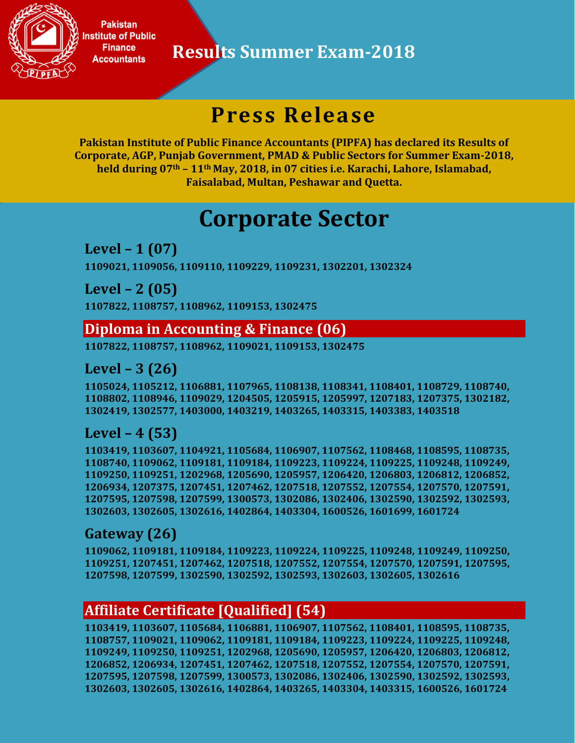

**Results Summer Exam-2018**

## **Press Release**

**Pakistan Institute of Public Finance Accountants (PIPFA) has declared its Results of Corporate, AGP, Punjab Government, PMAD & Public Sectors for Summer Exam-2018, held during 07th – 11th May, 2018, in 07 cities i.e. Karachi, Lahore, Islamabad, Faisalabad, Multan, Peshawar and Quetta.**

## **Corporate Sector**

**Level – 1 (07) 1109021, 1109056, 1109110, 1109229, 1109231, 1302201, 1302324**

**Level – 2 (05) 1107822, 1108757, 1108962, 1109153, 1302475**

#### **Diploma in Accounting & Finance (06)**

**1107822, 1108757, 1108962, 1109021, 1109153, 1302475**

#### **Level – 3 (26)**

**1105024, 1105212, 1106881, 1107965, 1108138, 1108341, 1108401, 1108729, 1108740, 1108802, 1108946, 1109029, 1204505, 1205915, 1205997, 1207183, 1207375, 1302182, 1302419, 1302577, 1403000, 1403219, 1403265, 1403315, 1403383, 1403518**

#### **Level – 4 (53)**

**1103419, 1103607, 1104921, 1105684, 1106907, 1107562, 1108468, 1108595, 1108735, 1108740, 1109062, 1109181, 1109184, 1109223, 1109224, 1109225, 1109248, 1109249, 1109250, 1109251, 1202968, 1205690, 1205957, 1206420, 1206803, 1206812, 1206852, 1206934, 1207375, 1207451, 1207462, 1207518, 1207552, 1207554, 1207570, 1207591, 1207595, 1207598, 1207599, 1300573, 1302086, 1302406, 1302590, 1302592, 1302593, 1302603, 1302605, 1302616, 1402864, 1403304, 1600526, 1601699, 1601724**

#### **Gateway (26)**

**1109062, 1109181, 1109184, 1109223, 1109224, 1109225, 1109248, 1109249, 1109250, 1109251, 1207451, 1207462, 1207518, 1207552, 1207554, 1207570, 1207591, 1207595, 1207598, 1207599, 1302590, 1302592, 1302593, 1302603, 1302605, 1302616**

#### **Affiliate Certificate [Qualified] (54)**

**1103419, 1103607, 1105684, 1106881, 1106907, 1107562, 1108401, 1108595, 1108735, 1108757, 1109021, 1109062, 1109181, 1109184, 1109223, 1109224, 1109225, 1109248, 1109249, 1109250, 1109251, 1202968, 1205690, 1205957, 1206420, 1206803, 1206812, 1206852, 1206934, 1207451, 1207462, 1207518, 1207552, 1207554, 1207570, 1207591, 1207595, 1207598, 1207599, 1300573, 1302086, 1302406, 1302590, 1302592, 1302593, 1302603, 1302605, 1302616, 1402864, 1403265, 1403304, 1403315, 1600526, 1601724**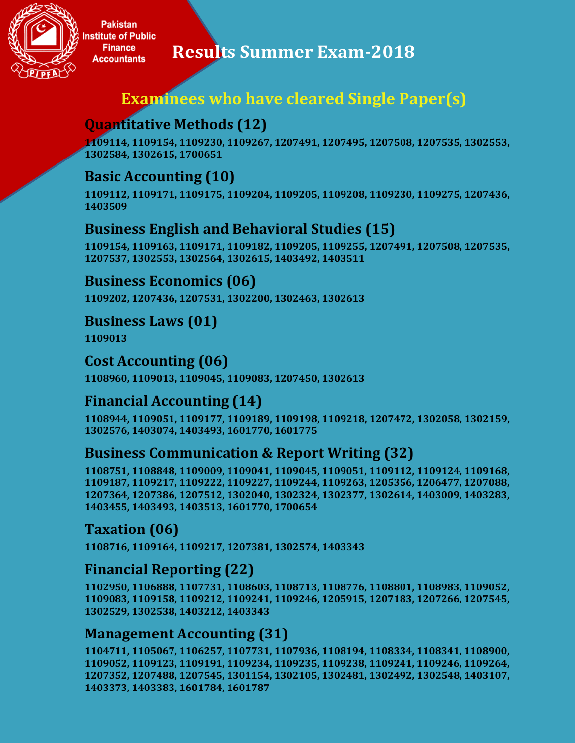

**Results Summer Exam-2018**

## **Examinees who have cleared Single Paper(s)**

## **Quantitative Methods (12)**

**1109114, 1109154, 1109230, 1109267, 1207491, 1207495, 1207508, 1207535, 1302553, 1302584, 1302615, 1700651**

#### **Basic Accounting (10)**

**1109112, 1109171, 1109175, 1109204, 1109205, 1109208, 1109230, 1109275, 1207436, 1403509**

#### **Business English and Behavioral Studies (15)**

**1109154, 1109163, 1109171, 1109182, 1109205, 1109255, 1207491, 1207508, 1207535, 1207537, 1302553, 1302564, 1302615, 1403492, 1403511**

#### **Business Economics (06)**

**1109202, 1207436, 1207531, 1302200, 1302463, 1302613**

#### **Business Laws (01)**

**1109013**

#### **Cost Accounting (06)**

**1108960, 1109013, 1109045, 1109083, 1207450, 1302613**

### **Financial Accounting (14)**

**1108944, 1109051, 1109177, 1109189, 1109198, 1109218, 1207472, 1302058, 1302159, 1302576, 1403074, 1403493, 1601770, 1601775**

#### **Business Communication & Report Writing (32)**

**1108751, 1108848, 1109009, 1109041, 1109045, 1109051, 1109112, 1109124, 1109168, 1109187, 1109217, 1109222, 1109227, 1109244, 1109263, 1205356, 1206477, 1207088, 1207364, 1207386, 1207512, 1302040, 1302324, 1302377, 1302614, 1403009, 1403283, 1403455, 1403493, 1403513, 1601770, 1700654**

#### **Taxation (06)**

**1108716, 1109164, 1109217, 1207381, 1302574, 1403343**

#### **Financial Reporting (22)**

**1102950, 1106888, 1107731, 1108603, 1108713, 1108776, 1108801, 1108983, 1109052, 1109083, 1109158, 1109212, 1109241, 1109246, 1205915, 1207183, 1207266, 1207545, 1302529, 1302538, 1403212, 1403343**

#### **Management Accounting (31)**

**1104711, 1105067, 1106257, 1107731, 1107936, 1108194, 1108334, 1108341, 1108900, 1109052, 1109123, 1109191, 1109234, 1109235, 1109238, 1109241, 1109246, 1109264, 1207352, 1207488, 1207545, 1301154, 1302105, 1302481, 1302492, 1302548, 1403107, 1403373, 1403383, 1601784, 1601787**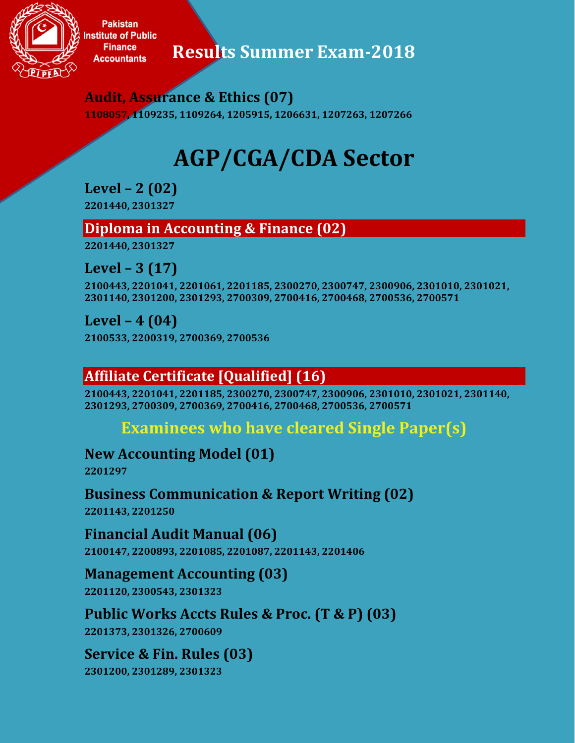

**Results Summer Exam-2018**

**Audit, Assurance & Ethics (07)**

**1108057, 1109235, 1109264, 1205915, 1206631, 1207263, 1207266**

# **AGP/CGA/CDA Sector**

**Level – 2 (02) 2201440, 2301327**

#### **Diploma in Accounting & Finance (02)**

**2201440, 2301327**

**Level – 3 (17)**

**2100443, 2201041, 2201061, 2201185, 2300270, 2300747, 2300906, 2301010, 2301021, 2301140, 2301200, 2301293, 2700309, 2700416, 2700468, 2700536, 2700571**

**Level – 4 (04)**

**2100533, 2200319, 2700369, 2700536**

## **Affiliate Certificate [Qualified] (16)**

**2100443, 2201041, 2201185, 2300270, 2300747, 2300906, 2301010, 2301021, 2301140, 2301293, 2700309, 2700369, 2700416, 2700468, 2700536, 2700571**

## **Examinees who have cleared Single Paper(s)**

**New Accounting Model (01)**

**2201297**

**Business Communication & Report Writing (02) 2201143, 2201250**

**Financial Audit Manual (06) 2100147, 2200893, 2201085, 2201087, 2201143, 2201406**

**Management Accounting (03) 2201120, 2300543, 2301323**

**Public Works Accts Rules & Proc. (T & P) (03) 2201373, 2301326, 2700609**

**Service & Fin. Rules (03) 2301200, 2301289, 2301323**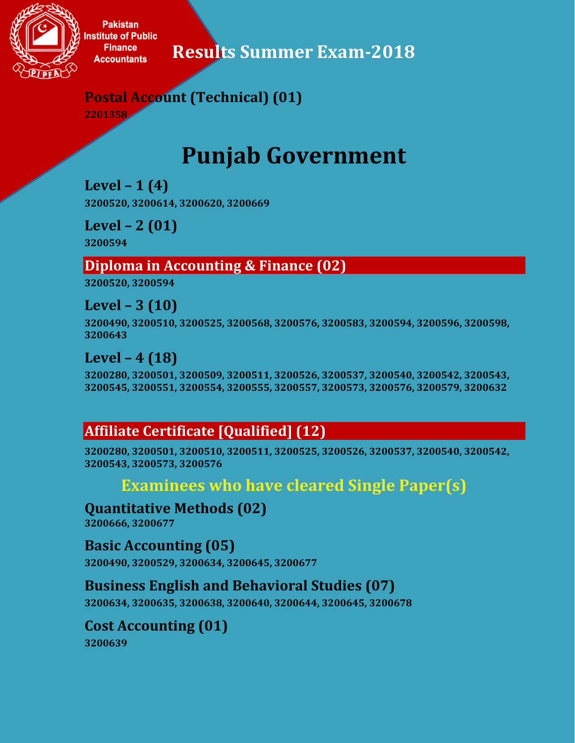

**Results Summer Exam-2018**

## **Postal Account (Technical) (01)**

**2201358**

## **Punjab Government**

**Level – 1 (4) 3200520, 3200614, 3200620, 3200669**

**Level – 2 (01) 3200594**

#### **Diploma in Accounting & Finance (02)**

**3200520, 3200594**

**Level – 3 (10) 3200490, 3200510, 3200525, 3200568, 3200576, 3200583, 3200594, 3200596, 3200598, 3200643**

### **Level – 4 (18)**

**3200280, 3200501, 3200509, 3200511, 3200526, 3200537, 3200540, 3200542, 3200543, 3200545, 3200551, 3200554, 3200555, 3200557, 3200573, 3200576, 3200579, 3200632**

### **Affiliate Certificate [Qualified] (12)**

**3200280, 3200501, 3200510, 3200511, 3200525, 3200526, 3200537, 3200540, 3200542, 3200543, 3200573, 3200576**

#### **Examinees who have cleared Single Paper(s)**

**Quantitative Methods (02)**

**3200666, 3200677**

**Basic Accounting (05) 3200490, 3200529, 3200634, 3200645, 3200677**

#### **Business English and Behavioral Studies (07)**

**3200634, 3200635, 3200638, 3200640, 3200644, 3200645, 3200678**

#### **Cost Accounting (01)**

**3200639**